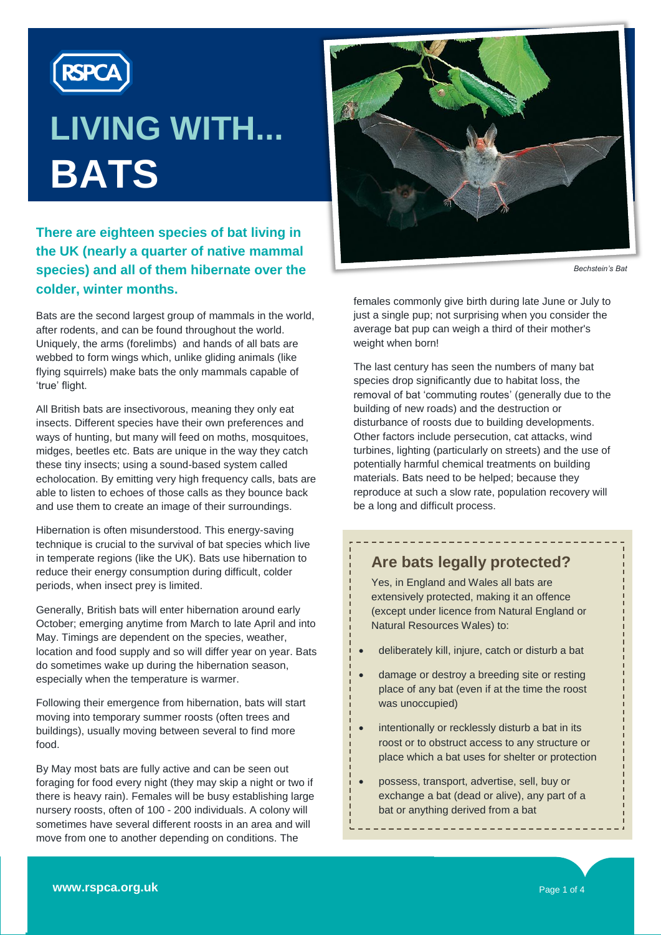

# **LIVING WITH... BATS**

#### **There are eighteen species of bat living in the UK (nearly a quarter of native mammal species) and all of them hibernate over the colder, winter months.**

Bats are the second largest group of mammals in the world, after rodents, and can be found throughout the world. Uniquely, the arms (forelimbs) and hands of all bats are webbed to form wings which, unlike gliding animals (like flying squirrels) make bats the only mammals capable of "true" flight.

All British bats are insectivorous, meaning they only eat insects. Different species have their own preferences and ways of hunting, but many will feed on moths, mosquitoes, midges, beetles etc. Bats are unique in the way they catch these tiny insects; using a sound-based system called echolocation. By emitting very high frequency calls, bats are able to listen to echoes of those calls as they bounce back and use them to create an image of their surroundings.

Hibernation is often misunderstood. This energy-saving technique is crucial to the survival of bat species which live in temperate regions (like the UK). Bats use hibernation to reduce their energy consumption during difficult, colder periods, when insect prey is limited.

Generally, British bats will enter hibernation around early October; emerging anytime from March to late April and into May. Timings are dependent on the species, weather, location and food supply and so will differ year on year. Bats do sometimes wake up during the hibernation season, especially when the temperature is warmer.

Following their emergence from hibernation, bats will start moving into temporary summer roosts (often trees and buildings), usually moving between several to find more food.

By May most bats are fully active and can be seen out foraging for food every night (they may skip a night or two if there is heavy rain). Females will be busy establishing large nursery roosts, often of 100 - 200 individuals. A colony will sometimes have several different roosts in an area and will move from one to another depending on conditions. The



*Bechstein's Bat*

females commonly give birth during late June or July to just a single pup; not surprising when you consider the average bat pup can weigh a third of their mother's weight when born!

The last century has seen the numbers of many bat species drop significantly due to habitat loss, the removal of bat "commuting routes" (generally due to the building of new roads) and the destruction or disturbance of roosts due to building developments. Other factors include persecution, cat attacks, wind turbines, lighting (particularly on streets) and the use of potentially harmful chemical treatments on building materials. Bats need to be helped; because they reproduce at such a slow rate, population recovery will be a long and difficult process.

#### **Are bats legally protected?**

Yes, in England and Wales all bats are extensively protected, making it an offence (except under licence from Natural England or Natural Resources Wales) to:

- deliberately kill, injure, catch or disturb a bat
- damage or destroy a breeding site or resting place of any bat (even if at the time the roost was unoccupied)
- intentionally or recklessly disturb a bat in its roost or to obstruct access to any structure or place which a bat uses for shelter or protection
- possess, transport, advertise, sell, buy or exchange a bat (dead or alive), any part of a bat or anything derived from a bat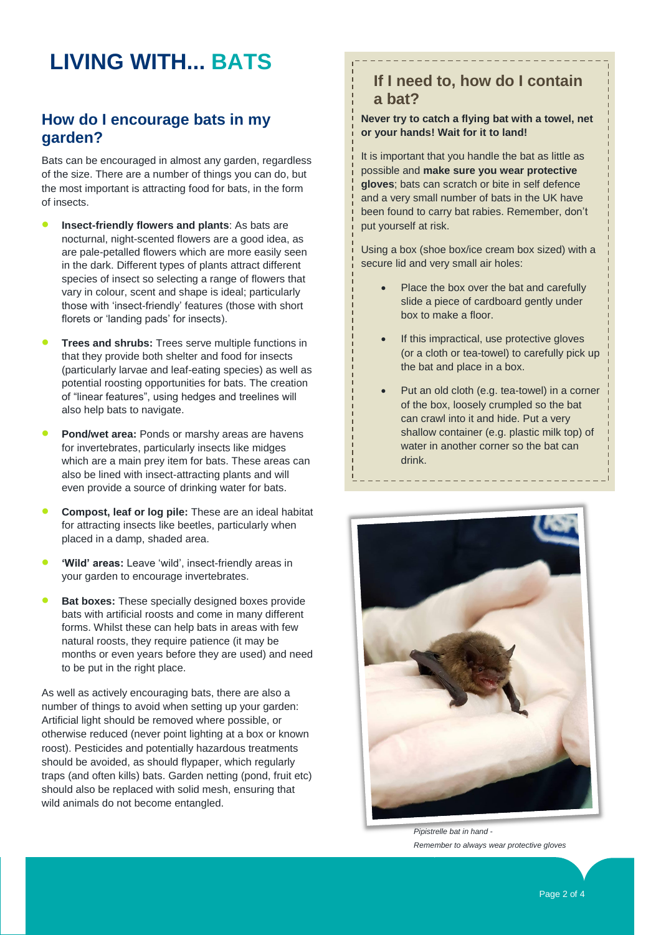# **LIVING WITH... BATS**

#### **How do I encourage bats in my garden?**

Bats can be encouraged in almost any garden, regardless of the size. There are a number of things you can do, but the most important is attracting food for bats, in the form of insects.

- **Insect-friendly flowers and plants**: As bats are nocturnal, night-scented flowers are a good idea, as are pale-petalled flowers which are more easily seen in the dark. Different types of plants attract different species of insect so selecting a range of flowers that vary in colour, scent and shape is ideal; particularly those with "insect-friendly" features (those with short florets or 'landing pads' for insects).
- **Trees and shrubs:** Trees serve multiple functions in that they provide both shelter and food for insects (particularly larvae and leaf-eating species) as well as potential roosting opportunities for bats. The creation of "linear features", using hedges and treelines will also help bats to navigate.
- **Pond/wet area:** Ponds or marshy areas are havens for invertebrates, particularly insects like midges which are a main prey item for bats. These areas can also be lined with insect-attracting plants and will even provide a source of drinking water for bats.
- **Compost, leaf or log pile:** These are an ideal habitat for attracting insects like beetles, particularly when placed in a damp, shaded area.
- 'Wild' areas: Leave 'wild', insect-friendly areas in your garden to encourage invertebrates.
- **Bat boxes:** These specially designed boxes provide bats with artificial roosts and come in many different forms. Whilst these can help bats in areas with few natural roosts, they require patience (it may be months or even years before they are used) and need to be put in the right place.

As well as actively encouraging bats, there are also a number of things to avoid when setting up your garden: Artificial light should be removed where possible, or otherwise reduced (never point lighting at a box or known roost). Pesticides and potentially hazardous treatments should be avoided, as should flypaper, which regularly traps (and often kills) bats. Garden netting (pond, fruit etc) should also be replaced with solid mesh, ensuring that wild animals do not become entangled.

## **If I need to, how do I contain a bat?**

#### **Never try to catch a flying bat with a towel, net or your hands! Wait for it to land!**

It is important that you handle the bat as little as possible and **make sure you wear protective gloves**; bats can scratch or bite in self defence and a very small number of bats in the UK have been found to carry bat rabies. Remember, don"t put yourself at risk.

Using a box (shoe box/ice cream box sized) with a secure lid and very small air holes:

- Place the box over the bat and carefully slide a piece of cardboard gently under box to make a floor.
- If this impractical, use protective gloves (or a cloth or tea-towel) to carefully pick up the bat and place in a box.
- Put an old cloth (e.g. tea-towel) in a corner of the box, loosely crumpled so the bat can crawl into it and hide. Put a very shallow container (e.g. plastic milk top) of water in another corner so the bat can drink.



*Pipistrelle bat in hand - Remember to always wear protective gloves*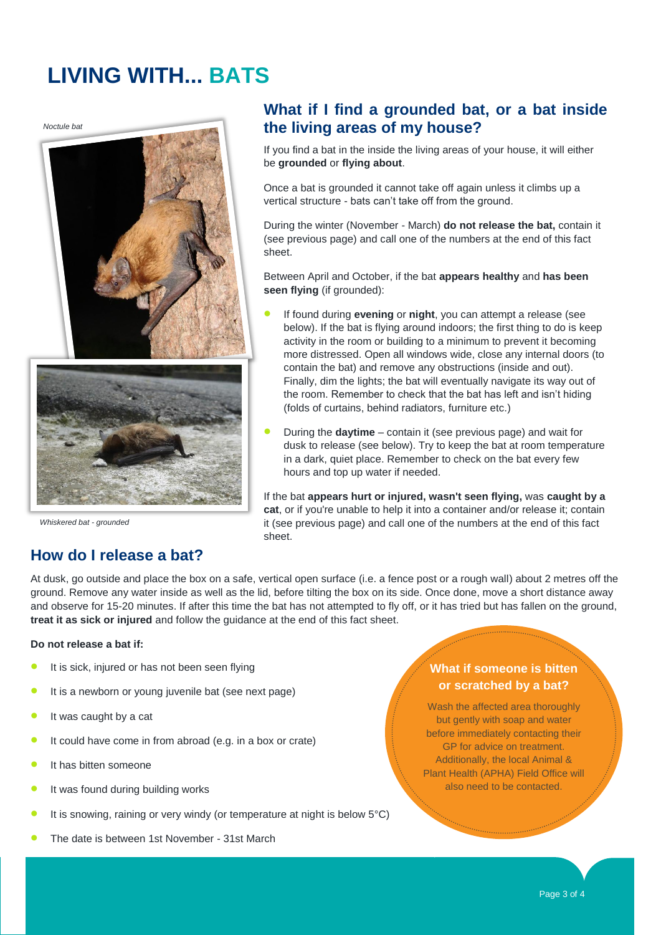# **LIVING WITH... BATS**

*Noctule bat*





*Whiskered bat - grounded*

## **What if I find a grounded bat, or a bat inside the living areas of my house?**

If you find a bat in the inside the living areas of your house, it will either be **grounded** or **flying about**.

Once a bat is grounded it cannot take off again unless it climbs up a vertical structure - bats can"t take off from the ground.

During the winter (November - March) **do not release the bat,** contain it (see previous page) and call one of the numbers at the end of this fact sheet.

Between April and October, if the bat **appears healthy** and **has been seen flying** (if grounded):

- If found during **evening** or **night**, you can attempt a release (see below). If the bat is flying around indoors; the first thing to do is keep activity in the room or building to a minimum to prevent it becoming more distressed. Open all windows wide, close any internal doors (to contain the bat) and remove any obstructions (inside and out). Finally, dim the lights; the bat will eventually navigate its way out of the room. Remember to check that the bat has left and isn"t hiding (folds of curtains, behind radiators, furniture etc.)
- During the **daytime** contain it (see previous page) and wait for dusk to release (see below). Try to keep the bat at room temperature in a dark, quiet place. Remember to check on the bat every few hours and top up water if needed.

If the bat **appears hurt or injured, wasn't seen flying,** was **caught by a cat**, or if you're unable to help it into a container and/or release it; contain it (see previous page) and call one of the numbers at the end of this fact sheet.

## **How do I release a bat?**

At dusk, go outside and place the box on a safe, vertical open surface (i.e. a fence post or a rough wall) about 2 metres off the ground. Remove any water inside as well as the lid, before tilting the box on its side. Once done, move a short distance away and observe for 15-20 minutes. If after this time the bat has not attempted to fly off, or it has tried but has fallen on the ground, **treat it as sick or injured** and follow the guidance at the end of this fact sheet.

#### **Do not release a bat if:**

- It is sick, injured or has not been seen flying
- It is a newborn or young juvenile bat (see next page)
- It was caught by a cat
- It could have come in from abroad (e.g. in a box or crate)
- It has bitten someone
- It was found during building works
- It is snowing, raining or very windy (or temperature at night is below 5°C)
- The date is between 1st November 31st March

#### **What if someone is bitten or scratched by a bat?**

Wash the affected area thoroughly but gently with soap and water before immediately contacting their GP for advice on treatment. Additionally, the local Animal & Plant Health (APHA) Field Office will also need to be contacted.